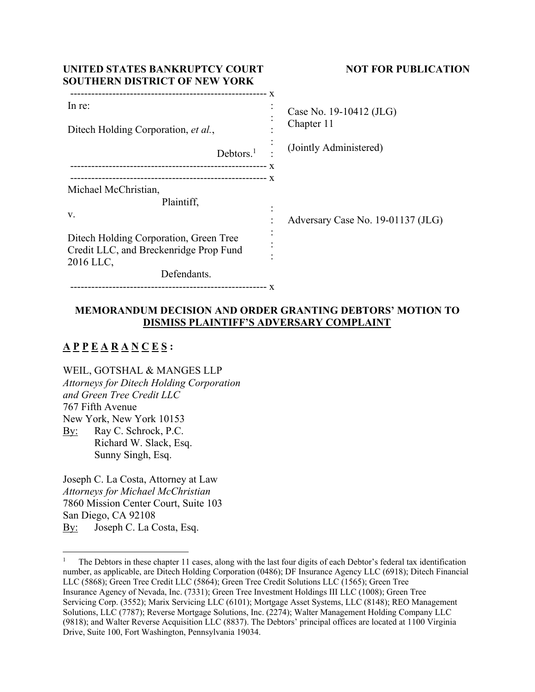| UNITED STATES BANKRUPTCY COURT<br><b>SOUTHERN DISTRICT OF NEW YORK</b> | <b>NOT FOR PUBLICATION</b>        |
|------------------------------------------------------------------------|-----------------------------------|
| In re:                                                                 | Case No. 19-10412 (JLG)           |
| Ditech Holding Corporation, et al.,                                    | Chapter 11                        |
| Debtors. <sup>1</sup>                                                  | (Jointly Administered)            |
|                                                                        | X                                 |
| Michael McChristian,                                                   |                                   |
| Plaintiff,                                                             |                                   |
| V.                                                                     | Adversary Case No. 19-01137 (JLG) |
| Ditech Holding Corporation, Green Tree                                 |                                   |
| Credit LLC, and Breckenridge Prop Fund                                 |                                   |
| 2016 LLC,<br>Defendants.                                               |                                   |
|                                                                        |                                   |

# **MEMORANDUM DECISION AND ORDER GRANTING DEBTORS' MOTION TO DISMISS PLAINTIFF'S ADVERSARY COMPLAINT**

# **A P P E A R A N C E S :**

WEIL, GOTSHAL & MANGES LLP

*Attorneys for Ditech Holding Corporation and Green Tree Credit LLC* 767 Fifth Avenue New York, New York 10153 By: Ray C. Schrock, P.C. Richard W. Slack, Esq.

Sunny Singh, Esq.

Joseph C. La Costa, Attorney at Law *Attorneys for Michael McChristian*  7860 Mission Center Court, Suite 103 San Diego, CA 92108 By: Joseph C. La Costa, Esq.

<sup>1</sup> The Debtors in these chapter 11 cases, along with the last four digits of each Debtor's federal tax identification number, as applicable, are Ditech Holding Corporation (0486); DF Insurance Agency LLC (6918); Ditech Financial LLC (5868); Green Tree Credit LLC (5864); Green Tree Credit Solutions LLC (1565); Green Tree Insurance Agency of Nevada, Inc. (7331); Green Tree Investment Holdings III LLC (1008); Green Tree Servicing Corp. (3552); Marix Servicing LLC (6101); Mortgage Asset Systems, LLC (8148); REO Management Solutions, LLC (7787); Reverse Mortgage Solutions, Inc. (2274); Walter Management Holding Company LLC (9818); and Walter Reverse Acquisition LLC (8837). The Debtors' principal offices are located at 1100 Virginia Drive, Suite 100, Fort Washington, Pennsylvania 19034.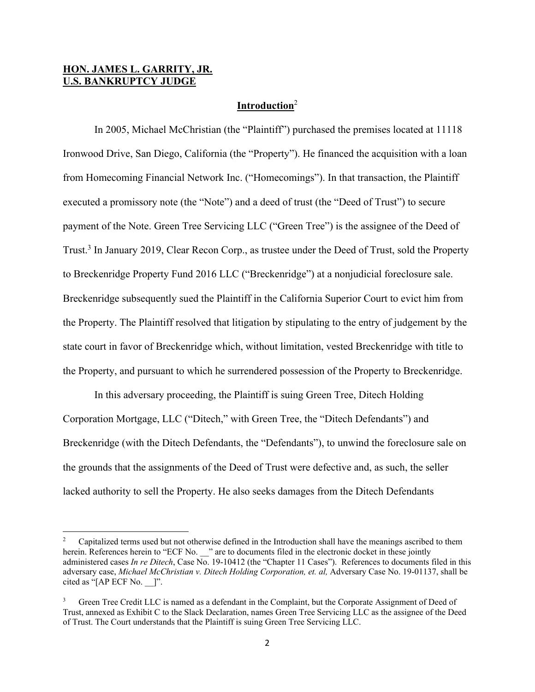# **HON. JAMES L. GARRITY, JR. U.S. BANKRUPTCY JUDGE**

#### **Introduction**<sup>2</sup>

 In 2005, Michael McChristian (the "Plaintiff") purchased the premises located at 11118 Ironwood Drive, San Diego, California (the "Property"). He financed the acquisition with a loan from Homecoming Financial Network Inc. ("Homecomings"). In that transaction, the Plaintiff executed a promissory note (the "Note") and a deed of trust (the "Deed of Trust") to secure payment of the Note. Green Tree Servicing LLC ("Green Tree") is the assignee of the Deed of Trust.<sup>3</sup> In January 2019, Clear Recon Corp., as trustee under the Deed of Trust, sold the Property to Breckenridge Property Fund 2016 LLC ("Breckenridge") at a nonjudicial foreclosure sale. Breckenridge subsequently sued the Plaintiff in the California Superior Court to evict him from the Property. The Plaintiff resolved that litigation by stipulating to the entry of judgement by the state court in favor of Breckenridge which, without limitation, vested Breckenridge with title to the Property, and pursuant to which he surrendered possession of the Property to Breckenridge.

 In this adversary proceeding, the Plaintiff is suing Green Tree, Ditech Holding Corporation Mortgage, LLC ("Ditech," with Green Tree, the "Ditech Defendants") and Breckenridge (with the Ditech Defendants, the "Defendants"), to unwind the foreclosure sale on the grounds that the assignments of the Deed of Trust were defective and, as such, the seller lacked authority to sell the Property. He also seeks damages from the Ditech Defendants

<sup>2</sup> Capitalized terms used but not otherwise defined in the Introduction shall have the meanings ascribed to them herein. References herein to "ECF No. " are to documents filed in the electronic docket in these jointly administered cases *In re Ditech*, Case No. 19-10412 (the "Chapter 11 Cases"). References to documents filed in this adversary case, *Michael McChristian v. Ditech Holding Corporation, et. al,* Adversary Case No. 19-01137, shall be cited as "[AP ECF No. ]".

<sup>3</sup> Green Tree Credit LLC is named as a defendant in the Complaint, but the Corporate Assignment of Deed of Trust, annexed as Exhibit C to the Slack Declaration, names Green Tree Servicing LLC as the assignee of the Deed of Trust. The Court understands that the Plaintiff is suing Green Tree Servicing LLC.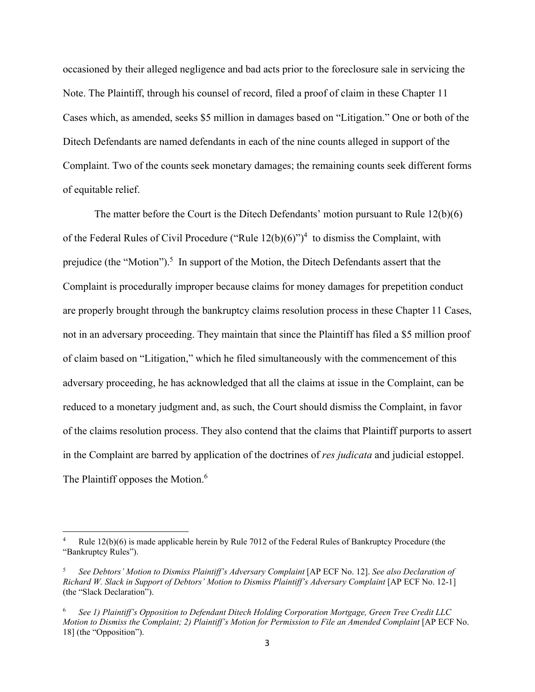occasioned by their alleged negligence and bad acts prior to the foreclosure sale in servicing the Note. The Plaintiff, through his counsel of record, filed a proof of claim in these Chapter 11 Cases which, as amended, seeks \$5 million in damages based on "Litigation." One or both of the Ditech Defendants are named defendants in each of the nine counts alleged in support of the Complaint. Two of the counts seek monetary damages; the remaining counts seek different forms of equitable relief.

 The matter before the Court is the Ditech Defendants' motion pursuant to Rule 12(b)(6) of the Federal Rules of Civil Procedure ("Rule  $12(b)(6)$ ")<sup>4</sup> to dismiss the Complaint, with prejudice (the "Motion").<sup>5</sup> In support of the Motion, the Ditech Defendants assert that the Complaint is procedurally improper because claims for money damages for prepetition conduct are properly brought through the bankruptcy claims resolution process in these Chapter 11 Cases, not in an adversary proceeding. They maintain that since the Plaintiff has filed a \$5 million proof of claim based on "Litigation," which he filed simultaneously with the commencement of this adversary proceeding, he has acknowledged that all the claims at issue in the Complaint, can be reduced to a monetary judgment and, as such, the Court should dismiss the Complaint, in favor of the claims resolution process. They also contend that the claims that Plaintiff purports to assert in the Complaint are barred by application of the doctrines of *res judicata* and judicial estoppel. The Plaintiff opposes the Motion.<sup>6</sup>

<sup>4</sup> Rule 12(b)(6) is made applicable herein by Rule 7012 of the Federal Rules of Bankruptcy Procedure (the "Bankruptcy Rules").

<sup>5</sup> *See Debtors' Motion to Dismiss Plaintiff's Adversary Complaint* [AP ECF No. 12]. *See also Declaration of Richard W. Slack in Support of Debtors' Motion to Dismiss Plaintiff's Adversary Complaint* [AP ECF No. 12-1] (the "Slack Declaration").

<sup>6</sup> *See 1) Plaintiff's Opposition to Defendant Ditech Holding Corporation Mortgage, Green Tree Credit LLC Motion to Dismiss the Complaint; 2) Plaintiff's Motion for Permission to File an Amended Complaint* [AP ECF No. 18] (the "Opposition").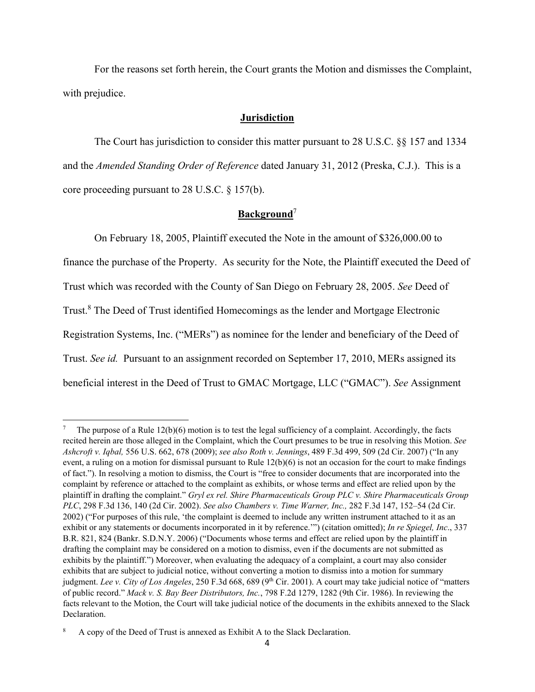For the reasons set forth herein, the Court grants the Motion and dismisses the Complaint, with prejudice.

## **Jurisdiction**

The Court has jurisdiction to consider this matter pursuant to 28 U.S.C. §§ 157 and 1334 and the *Amended Standing Order of Reference* dated January 31, 2012 (Preska, C.J.). This is a core proceeding pursuant to 28 U.S.C. § 157(b).

# **Background**<sup>7</sup>

 On February 18, 2005, Plaintiff executed the Note in the amount of \$326,000.00 to finance the purchase of the Property. As security for the Note, the Plaintiff executed the Deed of Trust which was recorded with the County of San Diego on February 28, 2005. *See* Deed of Trust.<sup>8</sup> The Deed of Trust identified Homecomings as the lender and Mortgage Electronic Registration Systems, Inc. ("MERs") as nominee for the lender and beneficiary of the Deed of Trust. *See id.* Pursuant to an assignment recorded on September 17, 2010, MERs assigned its beneficial interest in the Deed of Trust to GMAC Mortgage, LLC ("GMAC"). *See* Assignment

<sup>7</sup> The purpose of a Rule 12(b)(6) motion is to test the legal sufficiency of a complaint. Accordingly, the facts recited herein are those alleged in the Complaint, which the Court presumes to be true in resolving this Motion. *See Ashcroft v. Iqbal,* 556 U.S. 662, 678 (2009); *see also Roth v. Jennings*, 489 F.3d 499, 509 (2d Cir. 2007) ("In any event, a ruling on a motion for dismissal pursuant to Rule  $12(b)(6)$  is not an occasion for the court to make findings of fact."). In resolving a motion to dismiss, the Court is "free to consider documents that are incorporated into the complaint by reference or attached to the complaint as exhibits, or whose terms and effect are relied upon by the plaintiff in drafting the complaint." *Gryl ex rel. Shire Pharmaceuticals Group PLC v. Shire Pharmaceuticals Group PLC*, 298 F.3d 136, 140 (2d Cir. 2002). *See also Chambers v. Time Warner, Inc.,* 282 F.3d 147, 152–54 (2d Cir. 2002) ("For purposes of this rule, 'the complaint is deemed to include any written instrument attached to it as an exhibit or any statements or documents incorporated in it by reference.'") (citation omitted); *In re Spiegel, Inc*., 337 B.R. 821, 824 (Bankr. S.D.N.Y. 2006) ("Documents whose terms and effect are relied upon by the plaintiff in drafting the complaint may be considered on a motion to dismiss, even if the documents are not submitted as exhibits by the plaintiff.") Moreover, when evaluating the adequacy of a complaint, a court may also consider exhibits that are subject to judicial notice, without converting a motion to dismiss into a motion for summary judgment. *Lee v. City of Los Angeles*, 250 F.3d 668, 689 (9<sup>th</sup> Cir. 2001). A court may take judicial notice of "matters of public record." *Mack v. S. Bay Beer Distributors, Inc.*, 798 F.2d 1279, 1282 (9th Cir. 1986). In reviewing the facts relevant to the Motion, the Court will take judicial notice of the documents in the exhibits annexed to the Slack Declaration.

<sup>8</sup> A copy of the Deed of Trust is annexed as Exhibit A to the Slack Declaration.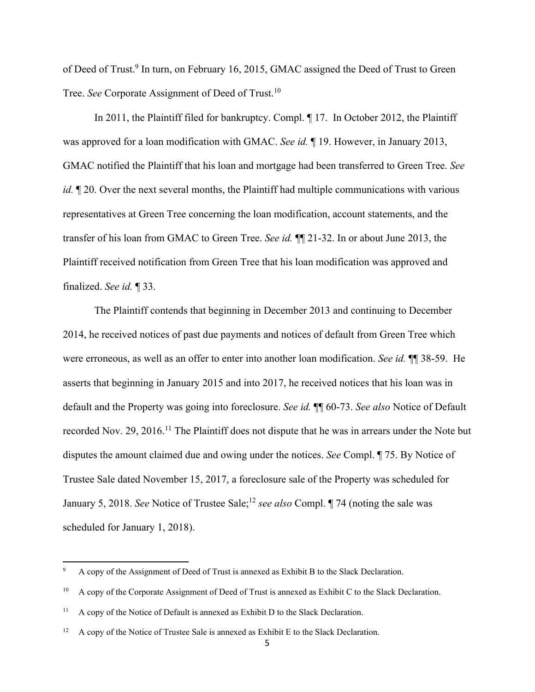of Deed of Trust.<sup>9</sup> In turn, on February 16, 2015, GMAC assigned the Deed of Trust to Green Tree. *See* Corporate Assignment of Deed of Trust.<sup>10</sup>

 In 2011, the Plaintiff filed for bankruptcy. Compl. ¶ 17. In October 2012, the Plaintiff was approved for a loan modification with GMAC. *See id.* ¶ 19. However, in January 2013, GMAC notified the Plaintiff that his loan and mortgage had been transferred to Green Tree. *See id.*  $\mathbb{I}$  20. Over the next several months, the Plaintiff had multiple communications with various representatives at Green Tree concerning the loan modification, account statements, and the transfer of his loan from GMAC to Green Tree. *See id.* ¶¶ 21-32. In or about June 2013, the Plaintiff received notification from Green Tree that his loan modification was approved and finalized. *See id.* ¶ 33.

 The Plaintiff contends that beginning in December 2013 and continuing to December 2014, he received notices of past due payments and notices of default from Green Tree which were erroneous, as well as an offer to enter into another loan modification. *See id.* ¶¶ 38-59. He asserts that beginning in January 2015 and into 2017, he received notices that his loan was in default and the Property was going into foreclosure. *See id.* ¶¶ 60-73. *See also* Notice of Default recorded Nov. 29, 2016.<sup>11</sup> The Plaintiff does not dispute that he was in arrears under the Note but disputes the amount claimed due and owing under the notices. *See* Compl. ¶ 75. By Notice of Trustee Sale dated November 15, 2017, a foreclosure sale of the Property was scheduled for January 5, 2018. *See* Notice of Trustee Sale;<sup>12</sup> *see also* Compl. 174 (noting the sale was scheduled for January 1, 2018).

<sup>9</sup> A copy of the Assignment of Deed of Trust is annexed as Exhibit B to the Slack Declaration.

<sup>&</sup>lt;sup>10</sup> A copy of the Corporate Assignment of Deed of Trust is annexed as Exhibit C to the Slack Declaration.

 $11$  A copy of the Notice of Default is annexed as Exhibit D to the Slack Declaration.

 $12$  A copy of the Notice of Trustee Sale is annexed as Exhibit E to the Slack Declaration.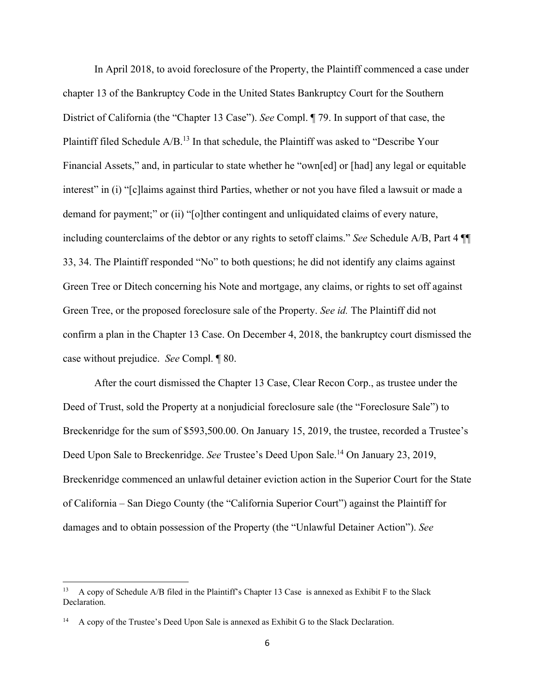In April 2018, to avoid foreclosure of the Property, the Plaintiff commenced a case under chapter 13 of the Bankruptcy Code in the United States Bankruptcy Court for the Southern District of California (the "Chapter 13 Case"). *See* Compl. ¶ 79. In support of that case, the Plaintiff filed Schedule A/B.13 In that schedule, the Plaintiff was asked to "Describe Your Financial Assets," and, in particular to state whether he "own[ed] or [had] any legal or equitable interest" in (i) "[c]laims against third Parties, whether or not you have filed a lawsuit or made a demand for payment;" or (ii) "[o]ther contingent and unliquidated claims of every nature, including counterclaims of the debtor or any rights to setoff claims." *See* Schedule A/B, Part 4 ¶¶ 33, 34. The Plaintiff responded "No" to both questions; he did not identify any claims against Green Tree or Ditech concerning his Note and mortgage, any claims, or rights to set off against Green Tree, or the proposed foreclosure sale of the Property. *See id.* The Plaintiff did not confirm a plan in the Chapter 13 Case. On December 4, 2018, the bankruptcy court dismissed the case without prejudice. *See* Compl. ¶ 80.

 After the court dismissed the Chapter 13 Case, Clear Recon Corp., as trustee under the Deed of Trust, sold the Property at a nonjudicial foreclosure sale (the "Foreclosure Sale") to Breckenridge for the sum of \$593,500.00. On January 15, 2019, the trustee, recorded a Trustee's Deed Upon Sale to Breckenridge. *See* Trustee's Deed Upon Sale.<sup>14</sup> On January 23, 2019, Breckenridge commenced an unlawful detainer eviction action in the Superior Court for the State of California – San Diego County (the "California Superior Court") against the Plaintiff for damages and to obtain possession of the Property (the "Unlawful Detainer Action"). *See*

<sup>13</sup> A copy of Schedule A/B filed in the Plaintiff's Chapter 13 Case is annexed as Exhibit F to the Slack Declaration.

<sup>14</sup> A copy of the Trustee's Deed Upon Sale is annexed as Exhibit G to the Slack Declaration.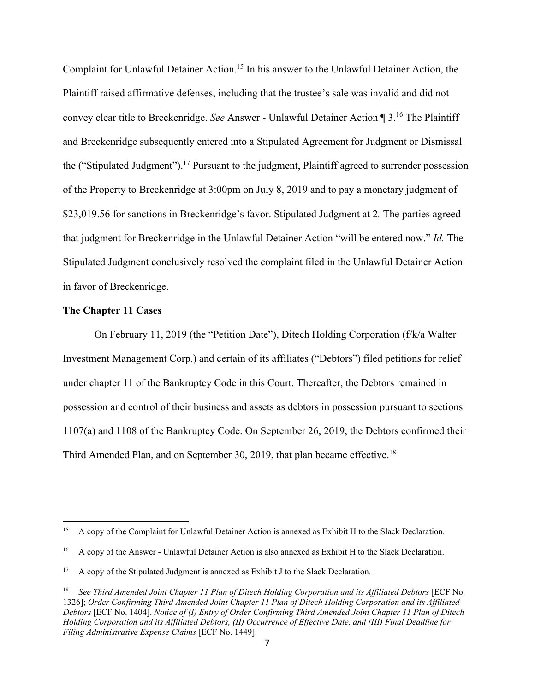Complaint for Unlawful Detainer Action.<sup>15</sup> In his answer to the Unlawful Detainer Action, the Plaintiff raised affirmative defenses, including that the trustee's sale was invalid and did not convey clear title to Breckenridge. *See* Answer - Unlawful Detainer Action ¶ 3.16 The Plaintiff and Breckenridge subsequently entered into a Stipulated Agreement for Judgment or Dismissal the ("Stipulated Judgment").<sup>17</sup> Pursuant to the judgment, Plaintiff agreed to surrender possession of the Property to Breckenridge at 3:00pm on July 8, 2019 and to pay a monetary judgment of \$23,019.56 for sanctions in Breckenridge's favor. Stipulated Judgment at 2*.* The parties agreed that judgment for Breckenridge in the Unlawful Detainer Action "will be entered now." *Id.* The Stipulated Judgment conclusively resolved the complaint filed in the Unlawful Detainer Action in favor of Breckenridge.

#### **The Chapter 11 Cases**

 On February 11, 2019 (the "Petition Date"), Ditech Holding Corporation (f/k/a Walter Investment Management Corp.) and certain of its affiliates ("Debtors") filed petitions for relief under chapter 11 of the Bankruptcy Code in this Court. Thereafter, the Debtors remained in possession and control of their business and assets as debtors in possession pursuant to sections 1107(a) and 1108 of the Bankruptcy Code. On September 26, 2019, the Debtors confirmed their Third Amended Plan, and on September 30, 2019, that plan became effective.<sup>18</sup>

<sup>&</sup>lt;sup>15</sup> A copy of the Complaint for Unlawful Detainer Action is annexed as Exhibit H to the Slack Declaration.

<sup>&</sup>lt;sup>16</sup> A copy of the Answer - Unlawful Detainer Action is also annexed as Exhibit H to the Slack Declaration.

<sup>17</sup> A copy of the Stipulated Judgment is annexed as Exhibit J to the Slack Declaration.

<sup>18</sup> *See Third Amended Joint Chapter 11 Plan of Ditech Holding Corporation and its Affiliated Debtors* [ECF No. 1326]; *Order Confirming Third Amended Joint Chapter 11 Plan of Ditech Holding Corporation and its Affiliated Debtors* [ECF No. 1404]. *Notice of (I) Entry of Order Confirming Third Amended Joint Chapter 11 Plan of Ditech Holding Corporation and its Affiliated Debtors, (II) Occurrence of Effective Date, and (III) Final Deadline for Filing Administrative Expense Claims* [ECF No. 1449].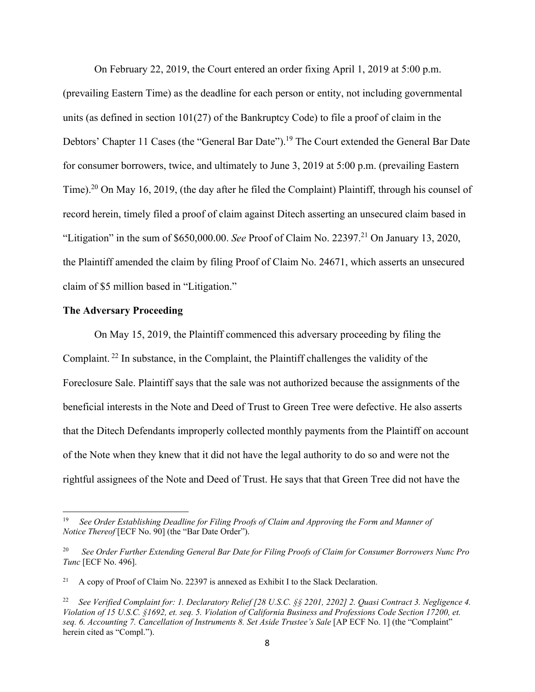On February 22, 2019, the Court entered an order fixing April 1, 2019 at 5:00 p.m.

(prevailing Eastern Time) as the deadline for each person or entity, not including governmental units (as defined in section  $101(27)$  of the Bankruptcy Code) to file a proof of claim in the Debtors' Chapter 11 Cases (the "General Bar Date").<sup>19</sup> The Court extended the General Bar Date for consumer borrowers, twice, and ultimately to June 3, 2019 at 5:00 p.m. (prevailing Eastern Time).<sup>20</sup> On May 16, 2019, (the day after he filed the Complaint) Plaintiff, through his counsel of record herein, timely filed a proof of claim against Ditech asserting an unsecured claim based in "Litigation" in the sum of \$650,000.00. *See* Proof of Claim No. 22397.<sup>21</sup> On January 13, 2020, the Plaintiff amended the claim by filing Proof of Claim No. 24671, which asserts an unsecured claim of \$5 million based in "Litigation."

## **The Adversary Proceeding**

 On May 15, 2019, the Plaintiff commenced this adversary proceeding by filing the Complaint. 22 In substance, in the Complaint, the Plaintiff challenges the validity of the Foreclosure Sale. Plaintiff says that the sale was not authorized because the assignments of the beneficial interests in the Note and Deed of Trust to Green Tree were defective. He also asserts that the Ditech Defendants improperly collected monthly payments from the Plaintiff on account of the Note when they knew that it did not have the legal authority to do so and were not the rightful assignees of the Note and Deed of Trust. He says that that Green Tree did not have the

<sup>19</sup> *See Order Establishing Deadline for Filing Proofs of Claim and Approving the Form and Manner of Notice Thereof* [ECF No. 90] (the "Bar Date Order").

<sup>20</sup> *See Order Further Extending General Bar Date for Filing Proofs of Claim for Consumer Borrowers Nunc Pro Tunc* [ECF No. 496].

<sup>21</sup> A copy of Proof of Claim No. 22397 is annexed as Exhibit I to the Slack Declaration.

<sup>22</sup> *See Verified Complaint for: 1. Declaratory Relief [28 U.S.C. §§ 2201, 2202] 2. Quasi Contract 3. Negligence 4. Violation of 15 U.S.C. §1692, et. seq. 5. Violation of California Business and Professions Code Section 17200, et. seq. 6. Accounting 7. Cancellation of Instruments 8. Set Aside Trustee's Sale* [AP ECF No. 1] (the "Complaint" herein cited as "Compl.").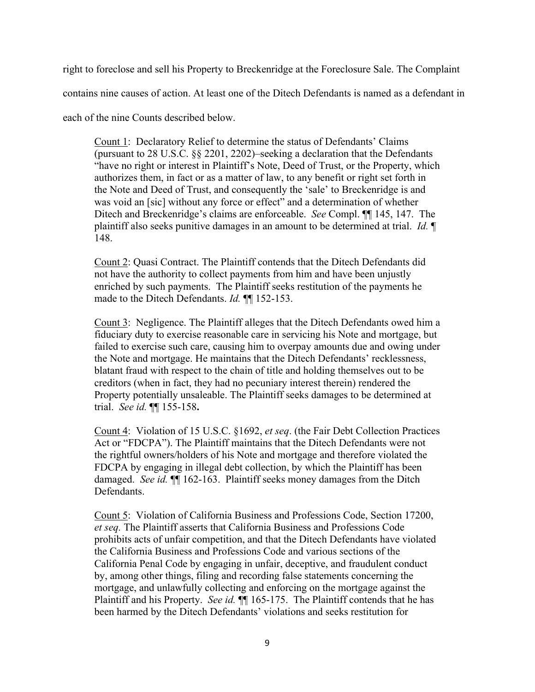right to foreclose and sell his Property to Breckenridge at the Foreclosure Sale. The Complaint

contains nine causes of action. At least one of the Ditech Defendants is named as a defendant in

each of the nine Counts described below.

Count 1: Declaratory Relief to determine the status of Defendants' Claims (pursuant to 28 U.S.C. §§ 2201, 2202)–seeking a declaration that the Defendants "have no right or interest in Plaintiff's Note, Deed of Trust, or the Property, which authorizes them, in fact or as a matter of law, to any benefit or right set forth in the Note and Deed of Trust, and consequently the 'sale' to Breckenridge is and was void an [sic] without any force or effect" and a determination of whether Ditech and Breckenridge's claims are enforceable. *See* Compl. ¶¶ 145, 147. The plaintiff also seeks punitive damages in an amount to be determined at trial. *Id.* ¶ 148.

Count 2: Quasi Contract. The Plaintiff contends that the Ditech Defendants did not have the authority to collect payments from him and have been unjustly enriched by such payments. The Plaintiff seeks restitution of the payments he made to the Ditech Defendants. *Id.* ¶¶ 152-153.

Count 3: Negligence. The Plaintiff alleges that the Ditech Defendants owed him a fiduciary duty to exercise reasonable care in servicing his Note and mortgage, but failed to exercise such care, causing him to overpay amounts due and owing under the Note and mortgage. He maintains that the Ditech Defendants' recklessness, blatant fraud with respect to the chain of title and holding themselves out to be creditors (when in fact, they had no pecuniary interest therein) rendered the Property potentially unsaleable. The Plaintiff seeks damages to be determined at trial. *See id.* ¶¶ 155-158**.** 

Count 4: Violation of 15 U.S.C. §1692, *et seq*. (the Fair Debt Collection Practices Act or "FDCPA"). The Plaintiff maintains that the Ditech Defendants were not the rightful owners/holders of his Note and mortgage and therefore violated the FDCPA by engaging in illegal debt collection, by which the Plaintiff has been damaged. *See id.* ¶¶ 162-163. Plaintiff seeks money damages from the Ditch Defendants.

Count 5: Violation of California Business and Professions Code, Section 17200, *et seq.* The Plaintiff asserts that California Business and Professions Code prohibits acts of unfair competition, and that the Ditech Defendants have violated the California Business and Professions Code and various sections of the California Penal Code by engaging in unfair, deceptive, and fraudulent conduct by, among other things, filing and recording false statements concerning the mortgage, and unlawfully collecting and enforcing on the mortgage against the Plaintiff and his Property. *See id.* **[165-175.** The Plaintiff contends that he has been harmed by the Ditech Defendants' violations and seeks restitution for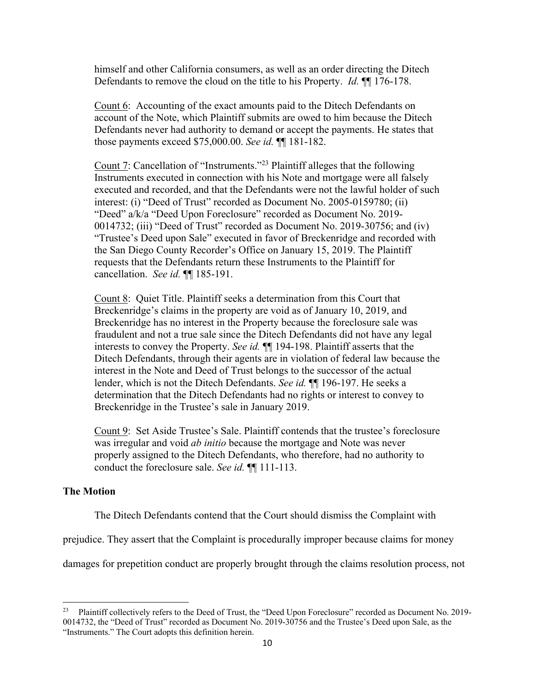himself and other California consumers, as well as an order directing the Ditech Defendants to remove the cloud on the title to his Property. *Id.* ¶¶ 176-178.

Count 6: Accounting of the exact amounts paid to the Ditech Defendants on account of the Note, which Plaintiff submits are owed to him because the Ditech Defendants never had authority to demand or accept the payments. He states that those payments exceed \$75,000.00. *See id.* ¶¶ 181-182.

Count 7: Cancellation of "Instruments."23 Plaintiff alleges that the following Instruments executed in connection with his Note and mortgage were all falsely executed and recorded, and that the Defendants were not the lawful holder of such interest: (i) "Deed of Trust" recorded as Document No. 2005-0159780; (ii) "Deed" a/k/a "Deed Upon Foreclosure" recorded as Document No. 2019- 0014732; (iii) "Deed of Trust" recorded as Document No. 2019-30756; and (iv) "Trustee's Deed upon Sale" executed in favor of Breckenridge and recorded with the San Diego County Recorder's Office on January 15, 2019. The Plaintiff requests that the Defendants return these Instruments to the Plaintiff for cancellation. *See id.* ¶¶ 185-191.

Count 8: Quiet Title. Plaintiff seeks a determination from this Court that Breckenridge's claims in the property are void as of January 10, 2019, and Breckenridge has no interest in the Property because the foreclosure sale was fraudulent and not a true sale since the Ditech Defendants did not have any legal interests to convey the Property. *See id.* ¶¶ 194-198. Plaintiff asserts that the Ditech Defendants, through their agents are in violation of federal law because the interest in the Note and Deed of Trust belongs to the successor of the actual lender, which is not the Ditech Defendants. *See id.* ¶¶ 196-197. He seeks a determination that the Ditech Defendants had no rights or interest to convey to Breckenridge in the Trustee's sale in January 2019.

Count 9: Set Aside Trustee's Sale. Plaintiff contends that the trustee's foreclosure was irregular and void *ab initio* because the mortgage and Note was never properly assigned to the Ditech Defendants, who therefore, had no authority to conduct the foreclosure sale. *See id.* ¶¶ 111-113.

#### **The Motion**

The Ditech Defendants contend that the Court should dismiss the Complaint with

prejudice. They assert that the Complaint is procedurally improper because claims for money

damages for prepetition conduct are properly brought through the claims resolution process, not

<sup>&</sup>lt;sup>23</sup> Plaintiff collectively refers to the Deed of Trust, the "Deed Upon Foreclosure" recorded as Document No. 2019-0014732, the "Deed of Trust" recorded as Document No. 2019-30756 and the Trustee's Deed upon Sale, as the "Instruments." The Court adopts this definition herein.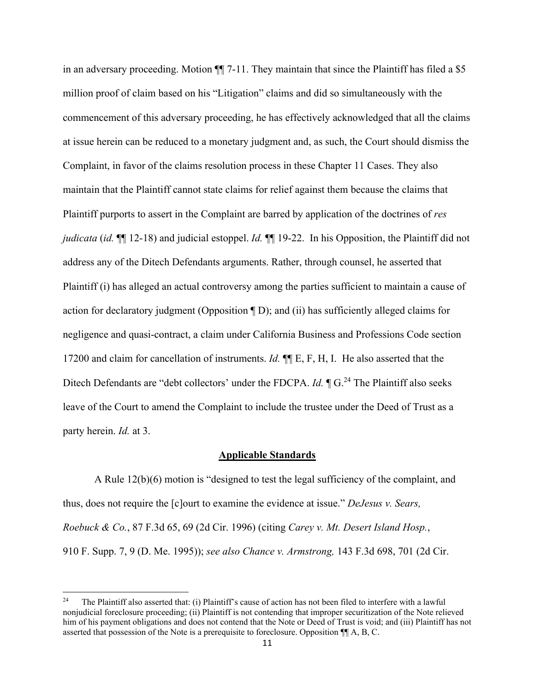in an adversary proceeding. Motion  $\P$  7-11. They maintain that since the Plaintiff has filed a \$5 million proof of claim based on his "Litigation" claims and did so simultaneously with the commencement of this adversary proceeding, he has effectively acknowledged that all the claims at issue herein can be reduced to a monetary judgment and, as such, the Court should dismiss the Complaint, in favor of the claims resolution process in these Chapter 11 Cases. They also maintain that the Plaintiff cannot state claims for relief against them because the claims that Plaintiff purports to assert in the Complaint are barred by application of the doctrines of *res judicata* (*id.* ¶¶ 12-18) and judicial estoppel. *Id.* ¶¶ 19-22. In his Opposition, the Plaintiff did not address any of the Ditech Defendants arguments. Rather, through counsel, he asserted that Plaintiff (i) has alleged an actual controversy among the parties sufficient to maintain a cause of action for declaratory judgment (Opposition ¶ D); and (ii) has sufficiently alleged claims for negligence and quasi-contract, a claim under California Business and Professions Code section 17200 and claim for cancellation of instruments. *Id.* ¶¶ E, F, H, I. He also asserted that the Ditech Defendants are "debt collectors' under the FDCPA. *Id.*  $\P G$ <sup>24</sup> The Plaintiff also seeks leave of the Court to amend the Complaint to include the trustee under the Deed of Trust as a party herein. *Id.* at 3.

#### **Applicable Standards**

 A Rule 12(b)(6) motion is "designed to test the legal sufficiency of the complaint, and thus, does not require the [c]ourt to examine the evidence at issue." *DeJesus v. Sears, Roebuck & Co.*, 87 F.3d 65, 69 (2d Cir. 1996) (citing *Carey v. Mt. Desert Island Hosp.*, 910 F. Supp. 7, 9 (D. Me. 1995)); *see also Chance v. Armstrong,* 143 F.3d 698, 701 (2d Cir.

<sup>24</sup> The Plaintiff also asserted that: (i) Plaintiff's cause of action has not been filed to interfere with a lawful nonjudicial foreclosure proceeding; (ii) Plaintiff is not contending that improper securitization of the Note relieved him of his payment obligations and does not contend that the Note or Deed of Trust is void; and (iii) Plaintiff has not asserted that possession of the Note is a prerequisite to foreclosure. Opposition ¶¶ A, B, C.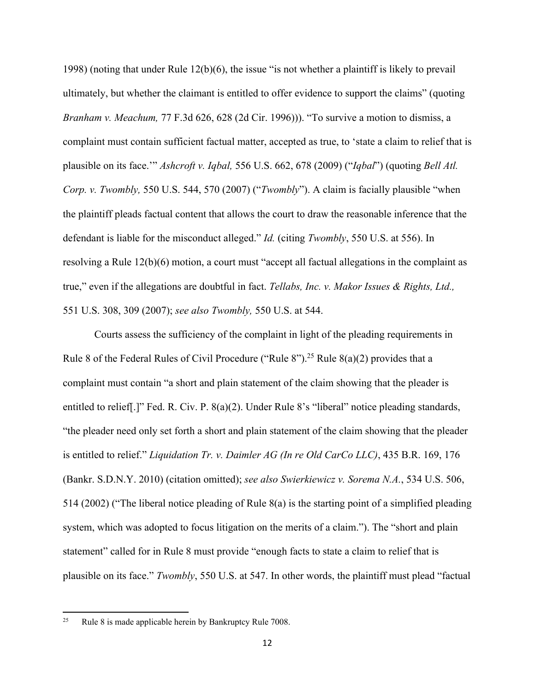1998) (noting that under Rule 12(b)(6), the issue "is not whether a plaintiff is likely to prevail ultimately, but whether the claimant is entitled to offer evidence to support the claims" (quoting *Branham v. Meachum,* 77 F.3d 626, 628 (2d Cir. 1996))). "To survive a motion to dismiss, a complaint must contain sufficient factual matter, accepted as true, to 'state a claim to relief that is plausible on its face.'" *Ashcroft v. Iqbal,* 556 U.S. 662, 678 (2009) ("*Iqbal*") (quoting *Bell Atl. Corp. v. Twombly,* 550 U.S. 544, 570 (2007) ("*Twombly*"). A claim is facially plausible "when the plaintiff pleads factual content that allows the court to draw the reasonable inference that the defendant is liable for the misconduct alleged." *Id.* (citing *Twombly*, 550 U.S. at 556). In resolving a Rule 12(b)(6) motion, a court must "accept all factual allegations in the complaint as true," even if the allegations are doubtful in fact. *Tellabs, Inc. v. Makor Issues & Rights, Ltd.,*  551 U.S. 308, 309 (2007); *see also Twombly,* 550 U.S. at 544.

 Courts assess the sufficiency of the complaint in light of the pleading requirements in Rule 8 of the Federal Rules of Civil Procedure ("Rule 8").<sup>25</sup> Rule 8(a)(2) provides that a complaint must contain "a short and plain statement of the claim showing that the pleader is entitled to relief[.]" Fed. R. Civ. P. 8(a)(2). Under Rule 8's "liberal" notice pleading standards, "the pleader need only set forth a short and plain statement of the claim showing that the pleader is entitled to relief." *Liquidation Tr. v. Daimler AG (In re Old CarCo LLC)*, 435 B.R. 169, 176 (Bankr. S.D.N.Y. 2010) (citation omitted); *see also Swierkiewicz v. Sorema N.A.*, 534 U.S. 506, 514 (2002) ("The liberal notice pleading of Rule 8(a) is the starting point of a simplified pleading system, which was adopted to focus litigation on the merits of a claim."). The "short and plain statement" called for in Rule 8 must provide "enough facts to state a claim to relief that is plausible on its face." *Twombly*, 550 U.S. at 547. In other words, the plaintiff must plead "factual

<sup>&</sup>lt;sup>25</sup> Rule 8 is made applicable herein by Bankruptcy Rule 7008.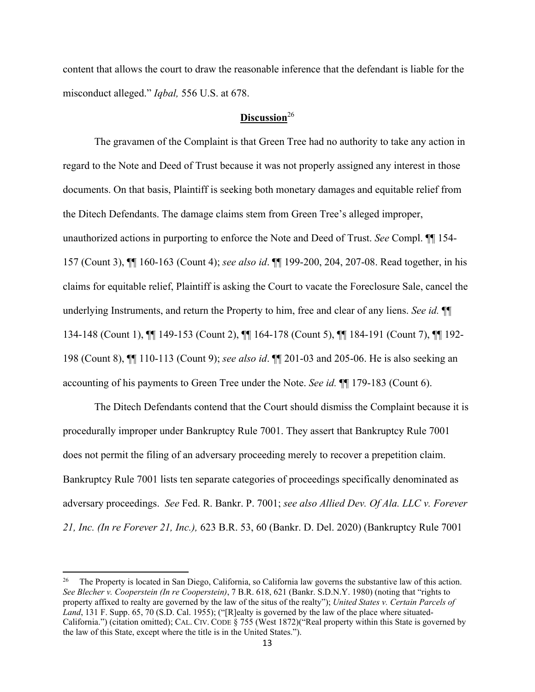content that allows the court to draw the reasonable inference that the defendant is liable for the misconduct alleged." *Iqbal,* 556 U.S. at 678.

# **Discussion**<sup>26</sup>

 The gravamen of the Complaint is that Green Tree had no authority to take any action in regard to the Note and Deed of Trust because it was not properly assigned any interest in those documents. On that basis, Plaintiff is seeking both monetary damages and equitable relief from the Ditech Defendants. The damage claims stem from Green Tree's alleged improper, unauthorized actions in purporting to enforce the Note and Deed of Trust. *See* Compl. ¶¶ 154- 157 (Count 3), ¶¶ 160-163 (Count 4); *see also id*. ¶¶ 199-200, 204, 207-08. Read together, in his claims for equitable relief, Plaintiff is asking the Court to vacate the Foreclosure Sale, cancel the underlying Instruments, and return the Property to him, free and clear of any liens. *See id.* ¶¶ 134-148 (Count 1), ¶¶ 149-153 (Count 2), ¶¶ 164-178 (Count 5), ¶¶ 184-191 (Count 7), ¶¶ 192- 198 (Count 8), ¶¶ 110-113 (Count 9); *see also id*. ¶¶ 201-03 and 205-06. He is also seeking an accounting of his payments to Green Tree under the Note. *See id.* ¶¶ 179-183 (Count 6).

 The Ditech Defendants contend that the Court should dismiss the Complaint because it is procedurally improper under Bankruptcy Rule 7001. They assert that Bankruptcy Rule 7001 does not permit the filing of an adversary proceeding merely to recover a prepetition claim. Bankruptcy Rule 7001 lists ten separate categories of proceedings specifically denominated as adversary proceedings. *See* Fed. R. Bankr. P. 7001; *see also Allied Dev. Of Ala. LLC v. Forever 21, Inc. (In re Forever 21, Inc.),* 623 B.R. 53, 60 (Bankr. D. Del. 2020) (Bankruptcy Rule 7001

<sup>26</sup> The Property is located in San Diego, California, so California law governs the substantive law of this action. *See Blecher v. Cooperstein (In re Cooperstein)*, 7 B.R. 618, 621 (Bankr. S.D.N.Y. 1980) (noting that "rights to property affixed to realty are governed by the law of the situs of the realty"); *United States v. Certain Parcels of Land*, 131 F. Supp. 65, 70 (S.D. Cal. 1955); ("[R]ealty is governed by the law of the place where situated-California.") (citation omitted); CAL. CIV. CODE § 755 (West 1872)("Real property within this State is governed by the law of this State, except where the title is in the United States.").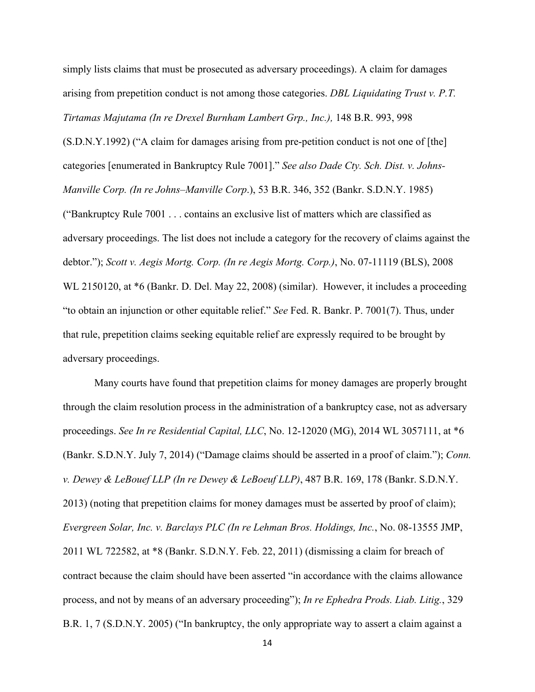simply lists claims that must be prosecuted as adversary proceedings). A claim for damages arising from prepetition conduct is not among those categories. *DBL Liquidating Trust v. P.T. Tirtamas Majutama (In re Drexel Burnham Lambert Grp., Inc.),* 148 B.R. 993, 998

(S.D.N.Y.1992) ("A claim for damages arising from pre-petition conduct is not one of [the] categories [enumerated in Bankruptcy Rule 7001]." *See also Dade Cty. Sch. Dist. v. Johns-Manville Corp. (In re Johns–Manville Corp*.), 53 B.R. 346, 352 (Bankr. S.D.N.Y. 1985) ("Bankruptcy Rule 7001 . . . contains an exclusive list of matters which are classified as adversary proceedings. The list does not include a category for the recovery of claims against the debtor."); *Scott v. Aegis Mortg. Corp. (In re Aegis Mortg. Corp.)*, No. 07-11119 (BLS), 2008 WL 2150120, at  $*6$  (Bankr. D. Del. May 22, 2008) (similar). However, it includes a proceeding "to obtain an injunction or other equitable relief." *See* Fed. R. Bankr. P. 7001(7). Thus, under that rule, prepetition claims seeking equitable relief are expressly required to be brought by adversary proceedings.

 Many courts have found that prepetition claims for money damages are properly brought through the claim resolution process in the administration of a bankruptcy case, not as adversary proceedings. *See In re Residential Capital, LLC*, No. 12-12020 (MG), 2014 WL 3057111, at \*6 (Bankr. S.D.N.Y. July 7, 2014) ("Damage claims should be asserted in a proof of claim."); *Conn. v. Dewey & LeBouef LLP (In re Dewey & LeBoeuf LLP)*, 487 B.R. 169, 178 (Bankr. S.D.N.Y. 2013) (noting that prepetition claims for money damages must be asserted by proof of claim); *Evergreen Solar, Inc. v. Barclays PLC (In re Lehman Bros. Holdings, Inc.*, No. 08-13555 JMP, 2011 WL 722582, at \*8 (Bankr. S.D.N.Y. Feb. 22, 2011) (dismissing a claim for breach of contract because the claim should have been asserted "in accordance with the claims allowance process, and not by means of an adversary proceeding"); *In re Ephedra Prods. Liab. Litig.*, 329 B.R. 1, 7 (S.D.N.Y. 2005) ("In bankruptcy, the only appropriate way to assert a claim against a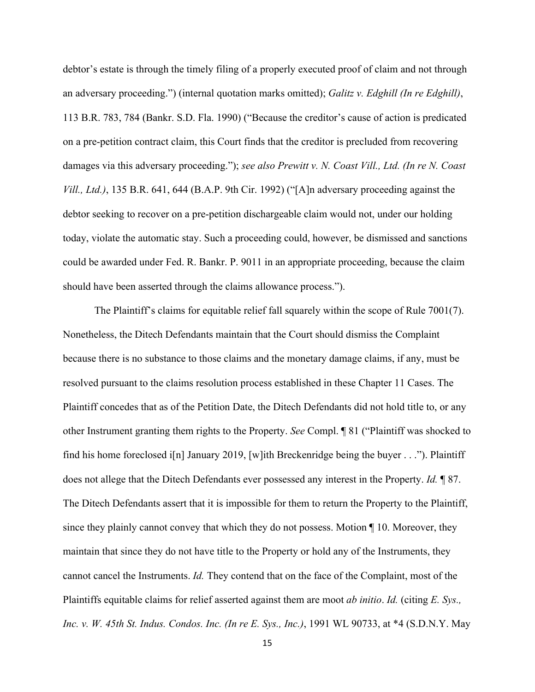debtor's estate is through the timely filing of a properly executed proof of claim and not through an adversary proceeding.") (internal quotation marks omitted); *Galitz v. Edghill (In re Edghill)*, 113 B.R. 783, 784 (Bankr. S.D. Fla. 1990) ("Because the creditor's cause of action is predicated on a pre-petition contract claim, this Court finds that the creditor is precluded from recovering damages via this adversary proceeding."); *see also Prewitt v. N. Coast Vill., Ltd. (In re N. Coast Vill., Ltd.)*, 135 B.R. 641, 644 (B.A.P. 9th Cir. 1992) ("[A]n adversary proceeding against the debtor seeking to recover on a pre-petition dischargeable claim would not, under our holding today, violate the automatic stay. Such a proceeding could, however, be dismissed and sanctions could be awarded under Fed. R. Bankr. P. 9011 in an appropriate proceeding, because the claim should have been asserted through the claims allowance process.").

 The Plaintiff's claims for equitable relief fall squarely within the scope of Rule 7001(7). Nonetheless, the Ditech Defendants maintain that the Court should dismiss the Complaint because there is no substance to those claims and the monetary damage claims, if any, must be resolved pursuant to the claims resolution process established in these Chapter 11 Cases. The Plaintiff concedes that as of the Petition Date, the Ditech Defendants did not hold title to, or any other Instrument granting them rights to the Property. *See* Compl. ¶ 81 ("Plaintiff was shocked to find his home foreclosed i[n] January 2019, [w]ith Breckenridge being the buyer  $\dots$ "). Plaintiff does not allege that the Ditech Defendants ever possessed any interest in the Property. *Id.* ¶ 87. The Ditech Defendants assert that it is impossible for them to return the Property to the Plaintiff, since they plainly cannot convey that which they do not possess. Motion ¶ 10. Moreover, they maintain that since they do not have title to the Property or hold any of the Instruments, they cannot cancel the Instruments. *Id.* They contend that on the face of the Complaint, most of the Plaintiffs equitable claims for relief asserted against them are moot *ab initio*. *Id.* (citing *E. Sys., Inc. v. W. 45th St. Indus. Condos. Inc. (In re E. Sys., Inc.)*, 1991 WL 90733, at \*4 (S.D.N.Y. May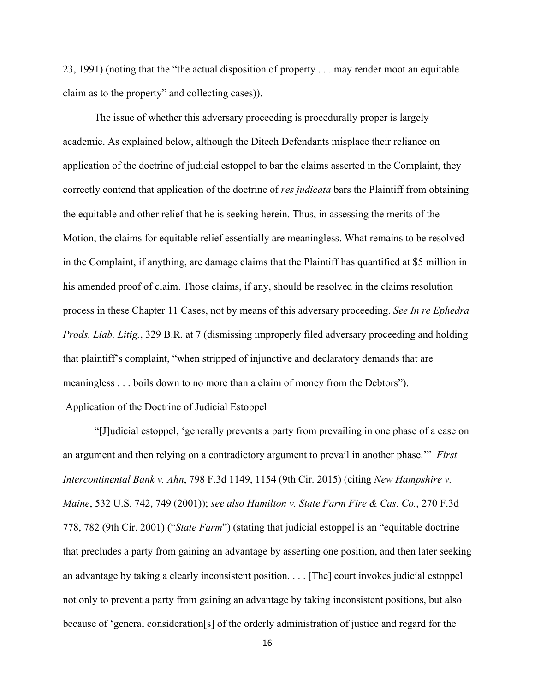23, 1991) (noting that the "the actual disposition of property . . . may render moot an equitable claim as to the property" and collecting cases)).

 The issue of whether this adversary proceeding is procedurally proper is largely academic. As explained below, although the Ditech Defendants misplace their reliance on application of the doctrine of judicial estoppel to bar the claims asserted in the Complaint, they correctly contend that application of the doctrine of *res judicata* bars the Plaintiff from obtaining the equitable and other relief that he is seeking herein. Thus, in assessing the merits of the Motion, the claims for equitable relief essentially are meaningless. What remains to be resolved in the Complaint, if anything, are damage claims that the Plaintiff has quantified at \$5 million in his amended proof of claim. Those claims, if any, should be resolved in the claims resolution process in these Chapter 11 Cases, not by means of this adversary proceeding. *See In re Ephedra Prods. Liab. Litig.*, 329 B.R. at 7 (dismissing improperly filed adversary proceeding and holding that plaintiff's complaint, "when stripped of injunctive and declaratory demands that are meaningless . . . boils down to no more than a claim of money from the Debtors").

#### Application of the Doctrine of Judicial Estoppel

 "[J]udicial estoppel, 'generally prevents a party from prevailing in one phase of a case on an argument and then relying on a contradictory argument to prevail in another phase.'" *First Intercontinental Bank v. Ahn*, 798 F.3d 1149, 1154 (9th Cir. 2015) (citing *New Hampshire v. Maine*, 532 U.S. 742, 749 (2001)); *see also Hamilton v. State Farm Fire & Cas. Co.*, 270 F.3d 778, 782 (9th Cir. 2001) ("*State Farm*") (stating that judicial estoppel is an "equitable doctrine that precludes a party from gaining an advantage by asserting one position, and then later seeking an advantage by taking a clearly inconsistent position. . . . [The] court invokes judicial estoppel not only to prevent a party from gaining an advantage by taking inconsistent positions, but also because of 'general consideration[s] of the orderly administration of justice and regard for the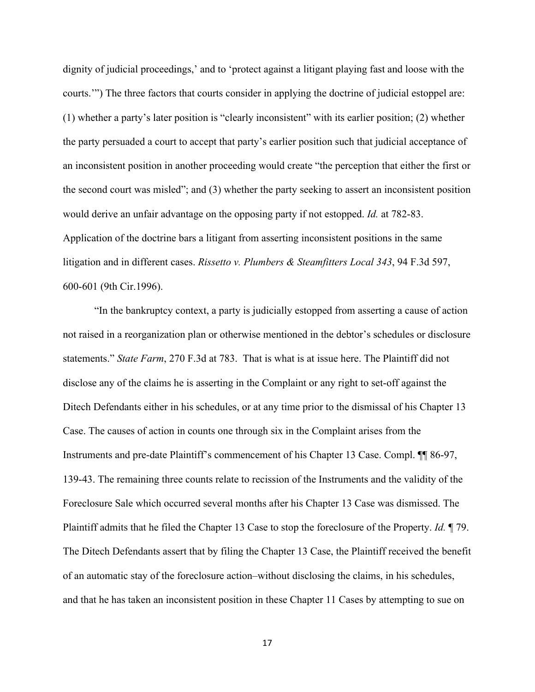dignity of judicial proceedings,' and to 'protect against a litigant playing fast and loose with the courts.'") The three factors that courts consider in applying the doctrine of judicial estoppel are: (1) whether a party's later position is "clearly inconsistent" with its earlier position; (2) whether the party persuaded a court to accept that party's earlier position such that judicial acceptance of an inconsistent position in another proceeding would create "the perception that either the first or the second court was misled"; and (3) whether the party seeking to assert an inconsistent position would derive an unfair advantage on the opposing party if not estopped. *Id.* at 782-83. Application of the doctrine bars a litigant from asserting inconsistent positions in the same litigation and in different cases. *Rissetto v. Plumbers & Steamfitters Local 343*, 94 F.3d 597, 600-601 (9th Cir.1996).

 "In the bankruptcy context, a party is judicially estopped from asserting a cause of action not raised in a reorganization plan or otherwise mentioned in the debtor's schedules or disclosure statements." *State Farm*, 270 F.3d at 783. That is what is at issue here. The Plaintiff did not disclose any of the claims he is asserting in the Complaint or any right to set-off against the Ditech Defendants either in his schedules, or at any time prior to the dismissal of his Chapter 13 Case. The causes of action in counts one through six in the Complaint arises from the Instruments and pre-date Plaintiff's commencement of his Chapter 13 Case. Compl. ¶¶ 86-97, 139-43. The remaining three counts relate to recission of the Instruments and the validity of the Foreclosure Sale which occurred several months after his Chapter 13 Case was dismissed. The Plaintiff admits that he filed the Chapter 13 Case to stop the foreclosure of the Property. *Id.* ¶ 79. The Ditech Defendants assert that by filing the Chapter 13 Case, the Plaintiff received the benefit of an automatic stay of the foreclosure action–without disclosing the claims, in his schedules, and that he has taken an inconsistent position in these Chapter 11 Cases by attempting to sue on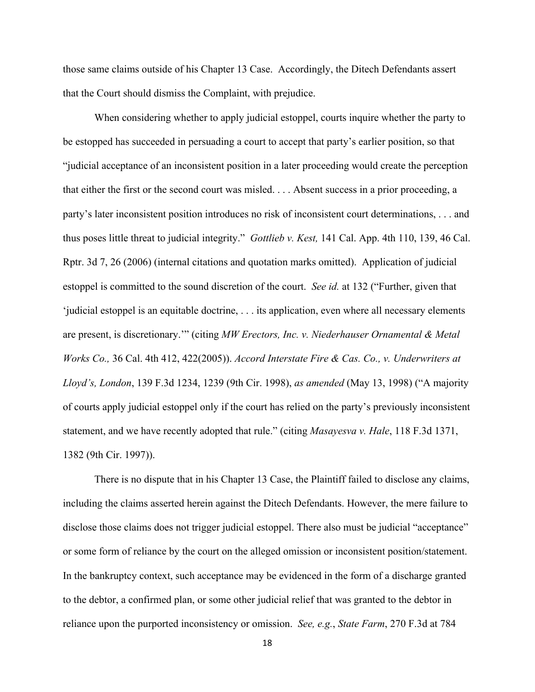those same claims outside of his Chapter 13 Case. Accordingly, the Ditech Defendants assert that the Court should dismiss the Complaint, with prejudice.

 When considering whether to apply judicial estoppel, courts inquire whether the party to be estopped has succeeded in persuading a court to accept that party's earlier position, so that "judicial acceptance of an inconsistent position in a later proceeding would create the perception that either the first or the second court was misled. . . . Absent success in a prior proceeding, a party's later inconsistent position introduces no risk of inconsistent court determinations, . . . and thus poses little threat to judicial integrity." *Gottlieb v. Kest,* 141 Cal. App. 4th 110, 139, 46 Cal. Rptr. 3d 7, 26 (2006) (internal citations and quotation marks omitted). Application of judicial estoppel is committed to the sound discretion of the court. *See id.* at 132 ("Further, given that 'judicial estoppel is an equitable doctrine, . . . its application, even where all necessary elements are present, is discretionary.'" (citing *MW Erectors, Inc. v. Niederhauser Ornamental & Metal Works Co.,* 36 Cal. 4th 412, 422(2005)). *Accord Interstate Fire & Cas. Co., v. Underwriters at Lloyd's, London*, 139 F.3d 1234, 1239 (9th Cir. 1998), *as amended* (May 13, 1998) ("A majority of courts apply judicial estoppel only if the court has relied on the party's previously inconsistent statement, and we have recently adopted that rule." (citing *Masayesva v. Hale*, 118 F.3d 1371, 1382 (9th Cir. 1997)).

 There is no dispute that in his Chapter 13 Case, the Plaintiff failed to disclose any claims, including the claims asserted herein against the Ditech Defendants. However, the mere failure to disclose those claims does not trigger judicial estoppel. There also must be judicial "acceptance" or some form of reliance by the court on the alleged omission or inconsistent position/statement. In the bankruptcy context, such acceptance may be evidenced in the form of a discharge granted to the debtor, a confirmed plan, or some other judicial relief that was granted to the debtor in reliance upon the purported inconsistency or omission. *See, e.g.*, *State Farm*, 270 F.3d at 784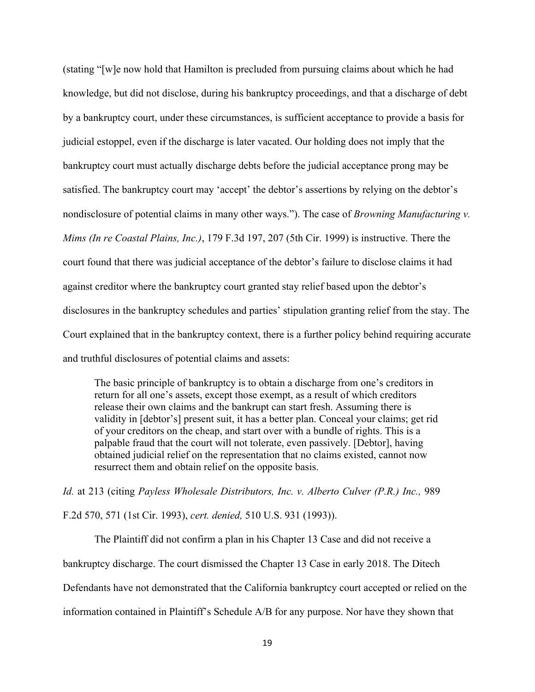(stating "[w]e now hold that Hamilton is precluded from pursuing claims about which he had knowledge, but did not disclose, during his bankruptcy proceedings, and that a discharge of debt by a bankruptcy court, under these circumstances, is sufficient acceptance to provide a basis for judicial estoppel, even if the discharge is later vacated. Our holding does not imply that the bankruptcy court must actually discharge debts before the judicial acceptance prong may be satisfied. The bankruptcy court may 'accept' the debtor's assertions by relying on the debtor's nondisclosure of potential claims in many other ways."). The case of *Browning Manufacturing v. Mims (In re Coastal Plains, Inc.)*, 179 F.3d 197, 207 (5th Cir. 1999) is instructive. There the court found that there was judicial acceptance of the debtor's failure to disclose claims it had against creditor where the bankruptcy court granted stay relief based upon the debtor's disclosures in the bankruptcy schedules and parties' stipulation granting relief from the stay. The Court explained that in the bankruptcy context, there is a further policy behind requiring accurate and truthful disclosures of potential claims and assets:

The basic principle of bankruptcy is to obtain a discharge from one's creditors in return for all one's assets, except those exempt, as a result of which creditors release their own claims and the bankrupt can start fresh. Assuming there is validity in [debtor's] present suit, it has a better plan. Conceal your claims; get rid of your creditors on the cheap, and start over with a bundle of rights. This is a palpable fraud that the court will not tolerate, even passively. [Debtor], having obtained judicial relief on the representation that no claims existed, cannot now resurrect them and obtain relief on the opposite basis.

*Id.* at 213 (citing *Payless Wholesale Distributors, Inc. v. Alberto Culver (P.R.) Inc.,* 989 F.2d 570, 571 (1st Cir. 1993), *cert. denied,* 510 U.S. 931 (1993)).

 The Plaintiff did not confirm a plan in his Chapter 13 Case and did not receive a bankruptcy discharge. The court dismissed the Chapter 13 Case in early 2018. The Ditech Defendants have not demonstrated that the California bankruptcy court accepted or relied on the information contained in Plaintiff's Schedule A/B for any purpose. Nor have they shown that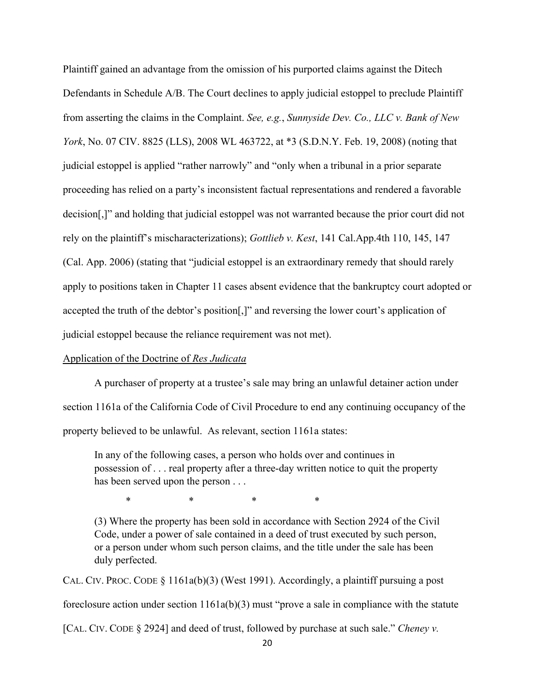Plaintiff gained an advantage from the omission of his purported claims against the Ditech Defendants in Schedule A/B. The Court declines to apply judicial estoppel to preclude Plaintiff from asserting the claims in the Complaint. *See, e.g.*, *Sunnyside Dev. Co., LLC v. Bank of New York*, No. 07 CIV. 8825 (LLS), 2008 WL 463722, at \*3 (S.D.N.Y. Feb. 19, 2008) (noting that judicial estoppel is applied "rather narrowly" and "only when a tribunal in a prior separate proceeding has relied on a party's inconsistent factual representations and rendered a favorable decision[,]" and holding that judicial estoppel was not warranted because the prior court did not rely on the plaintiff's mischaracterizations); *Gottlieb v. Kest*, 141 Cal.App.4th 110, 145, 147 (Cal. App. 2006) (stating that "judicial estoppel is an extraordinary remedy that should rarely apply to positions taken in Chapter 11 cases absent evidence that the bankruptcy court adopted or accepted the truth of the debtor's position[,]" and reversing the lower court's application of judicial estoppel because the reliance requirement was not met).

## Application of the Doctrine of *Res Judicata*

 A purchaser of property at a trustee's sale may bring an unlawful detainer action under section 1161a of the California Code of Civil Procedure to end any continuing occupancy of the property believed to be unlawful. As relevant, section 1161a states:

In any of the following cases, a person who holds over and continues in possession of . . . real property after a three-day written notice to quit the property has been served upon the person . . .

 $*$  \* \* \* \*

(3) Where the property has been sold in accordance with Section 2924 of the Civil Code, under a power of sale contained in a deed of trust executed by such person, or a person under whom such person claims, and the title under the sale has been duly perfected.

CAL. CIV. PROC. CODE  $\S$  1161a(b)(3) (West 1991). Accordingly, a plaintiff pursuing a post foreclosure action under section 1161a(b)(3) must "prove a sale in compliance with the statute [CAL. CIV. CODE § 2924] and deed of trust, followed by purchase at such sale." *Cheney v.*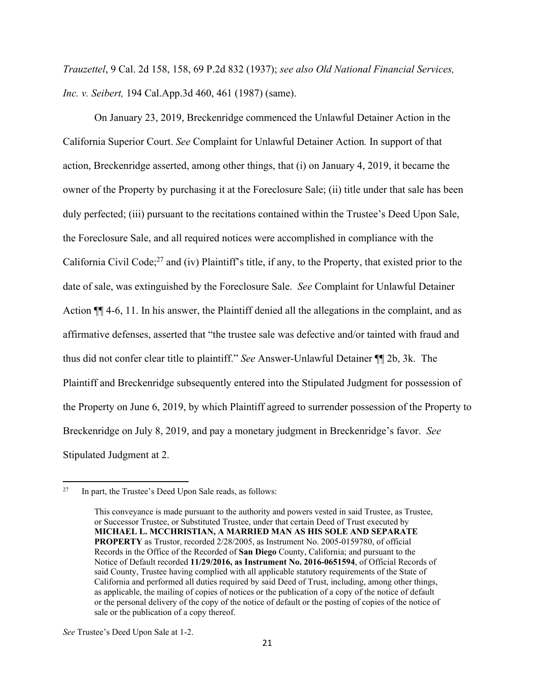*Trauzettel*, 9 Cal. 2d 158, 158, 69 P.2d 832 (1937); *see also Old National Financial Services, Inc. v. Seibert,* 194 Cal.App.3d 460, 461 (1987) (same).

 On January 23, 2019, Breckenridge commenced the Unlawful Detainer Action in the California Superior Court. *See* Complaint for Unlawful Detainer Action*.* In support of that action, Breckenridge asserted, among other things, that (i) on January 4, 2019, it became the owner of the Property by purchasing it at the Foreclosure Sale; (ii) title under that sale has been duly perfected; (iii) pursuant to the recitations contained within the Trustee's Deed Upon Sale, the Foreclosure Sale, and all required notices were accomplished in compliance with the California Civil Code;<sup>27</sup> and (iv) Plaintiff's title, if any, to the Property, that existed prior to the date of sale, was extinguished by the Foreclosure Sale. *See* Complaint for Unlawful Detainer Action ¶¶ 4-6, 11. In his answer, the Plaintiff denied all the allegations in the complaint, and as affirmative defenses, asserted that "the trustee sale was defective and/or tainted with fraud and thus did not confer clear title to plaintiff." *See* Answer-Unlawful Detainer ¶¶ 2b, 3k. The Plaintiff and Breckenridge subsequently entered into the Stipulated Judgment for possession of the Property on June 6, 2019, by which Plaintiff agreed to surrender possession of the Property to Breckenridge on July 8, 2019, and pay a monetary judgment in Breckenridge's favor. *See* Stipulated Judgment at 2.

<sup>&</sup>lt;sup>27</sup> In part, the Trustee's Deed Upon Sale reads, as follows:

This conveyance is made pursuant to the authority and powers vested in said Trustee, as Trustee, or Successor Trustee, or Substituted Trustee, under that certain Deed of Trust executed by **MICHAEL L. MCCHRISTIAN, A MARRIED MAN AS HIS SOLE AND SEPARATE PROPERTY** as Trustor, recorded 2/28/2005, as Instrument No. 2005-0159780, of official Records in the Office of the Recorded of **San Diego** County, California; and pursuant to the Notice of Default recorded **11/29/2016, as Instrument No. 2016-0651594**, of Official Records of said County, Trustee having complied with all applicable statutory requirements of the State of California and performed all duties required by said Deed of Trust, including, among other things, as applicable, the mailing of copies of notices or the publication of a copy of the notice of default or the personal delivery of the copy of the notice of default or the posting of copies of the notice of sale or the publication of a copy thereof.

*See* Trustee's Deed Upon Sale at 1-2.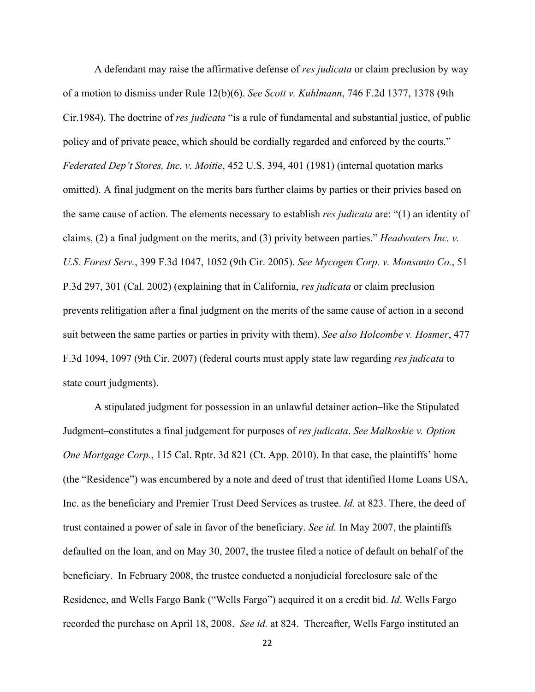A defendant may raise the affirmative defense of *res judicata* or claim preclusion by way of a motion to dismiss under Rule 12(b)(6). *See Scott v. Kuhlmann*, 746 F.2d 1377, 1378 (9th Cir.1984). The doctrine of *res judicata* "is a rule of fundamental and substantial justice, of public policy and of private peace, which should be cordially regarded and enforced by the courts." *Federated Dep't Stores, Inc. v. Moitie*, 452 U.S. 394, 401 (1981) (internal quotation marks omitted). A final judgment on the merits bars further claims by parties or their privies based on the same cause of action. The elements necessary to establish *res judicata* are: "(1) an identity of claims, (2) a final judgment on the merits, and (3) privity between parties." *Headwaters Inc. v. U.S. Forest Serv.*, 399 F.3d 1047, 1052 (9th Cir. 2005). *See Mycogen Corp. v. Monsanto Co.*, 51 P.3d 297, 301 (Cal. 2002) (explaining that in California, *res judicata* or claim preclusion prevents relitigation after a final judgment on the merits of the same cause of action in a second suit between the same parties or parties in privity with them). *See also Holcombe v. Hosmer*, 477 F.3d 1094, 1097 (9th Cir. 2007) (federal courts must apply state law regarding *res judicata* to state court judgments).

A stipulated judgment for possession in an unlawful detainer action–like the Stipulated Judgment–constitutes a final judgement for purposes of *res judicata*. *See Malkoskie v. Option One Mortgage Corp.*, 115 Cal. Rptr. 3d 821 (Ct. App. 2010). In that case, the plaintiffs' home (the "Residence") was encumbered by a note and deed of trust that identified Home Loans USA, Inc. as the beneficiary and Premier Trust Deed Services as trustee. *Id.* at 823. There, the deed of trust contained a power of sale in favor of the beneficiary. *See id.* In May 2007, the plaintiffs defaulted on the loan, and on May 30, 2007, the trustee filed a notice of default on behalf of the beneficiary. In February 2008, the trustee conducted a nonjudicial foreclosure sale of the Residence, and Wells Fargo Bank ("Wells Fargo") acquired it on a credit bid. *Id*. Wells Fargo recorded the purchase on April 18, 2008. *See id.* at 824. Thereafter, Wells Fargo instituted an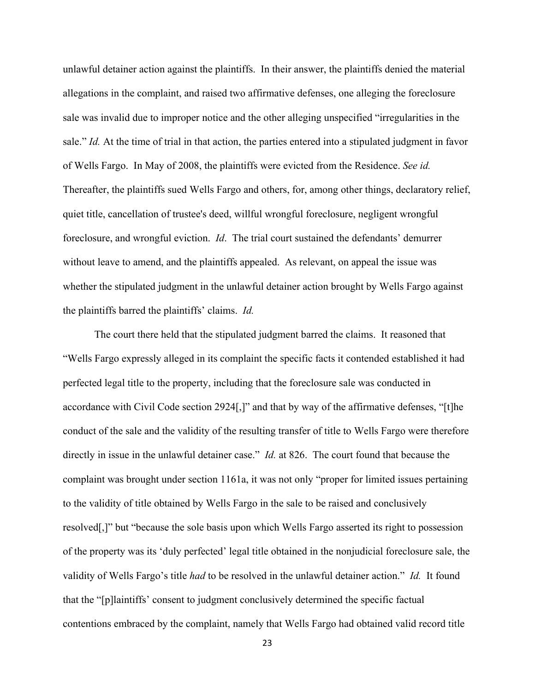unlawful detainer action against the plaintiffs. In their answer, the plaintiffs denied the material allegations in the complaint, and raised two affirmative defenses, one alleging the foreclosure sale was invalid due to improper notice and the other alleging unspecified "irregularities in the sale." *Id.* At the time of trial in that action, the parties entered into a stipulated judgment in favor of Wells Fargo. In May of 2008, the plaintiffs were evicted from the Residence. *See id.*  Thereafter, the plaintiffs sued Wells Fargo and others, for, among other things, declaratory relief, quiet title, cancellation of trustee's deed, willful wrongful foreclosure, negligent wrongful foreclosure, and wrongful eviction. *Id*. The trial court sustained the defendants' demurrer without leave to amend, and the plaintiffs appealed. As relevant, on appeal the issue was whether the stipulated judgment in the unlawful detainer action brought by Wells Fargo against the plaintiffs barred the plaintiffs' claims. *Id.*

 The court there held that the stipulated judgment barred the claims. It reasoned that "Wells Fargo expressly alleged in its complaint the specific facts it contended established it had perfected legal title to the property, including that the foreclosure sale was conducted in accordance with Civil Code section 2924[,]" and that by way of the affirmative defenses, "[t]he conduct of the sale and the validity of the resulting transfer of title to Wells Fargo were therefore directly in issue in the unlawful detainer case." *Id.* at 826. The court found that because the complaint was brought under section 1161a, it was not only "proper for limited issues pertaining to the validity of title obtained by Wells Fargo in the sale to be raised and conclusively resolved[,]" but "because the sole basis upon which Wells Fargo asserted its right to possession of the property was its 'duly perfected' legal title obtained in the nonjudicial foreclosure sale, the validity of Wells Fargo's title *had* to be resolved in the unlawful detainer action." *Id.* It found that the "[p]laintiffs' consent to judgment conclusively determined the specific factual contentions embraced by the complaint, namely that Wells Fargo had obtained valid record title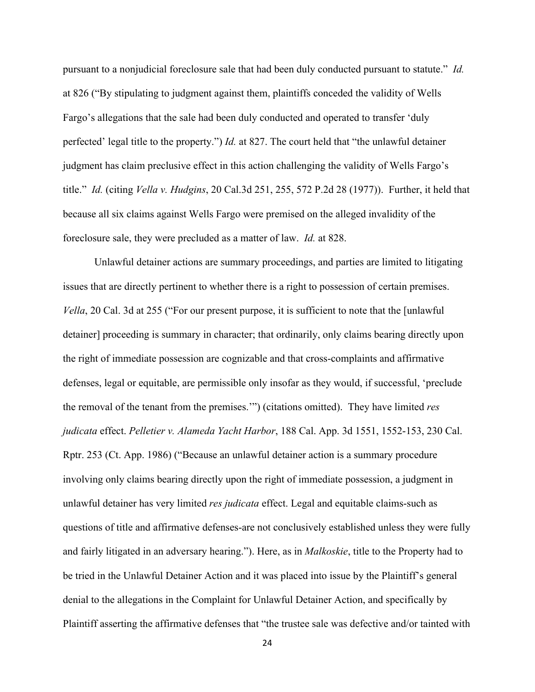pursuant to a nonjudicial foreclosure sale that had been duly conducted pursuant to statute." *Id.* at 826 ("By stipulating to judgment against them, plaintiffs conceded the validity of Wells Fargo's allegations that the sale had been duly conducted and operated to transfer 'duly perfected' legal title to the property.") *Id.* at 827. The court held that "the unlawful detainer judgment has claim preclusive effect in this action challenging the validity of Wells Fargo's title." *Id.* (citing *Vella v. Hudgins*, 20 Cal.3d 251, 255, 572 P.2d 28 (1977)). Further, it held that because all six claims against Wells Fargo were premised on the alleged invalidity of the foreclosure sale, they were precluded as a matter of law. *Id.* at 828.

 Unlawful detainer actions are summary proceedings, and parties are limited to litigating issues that are directly pertinent to whether there is a right to possession of certain premises. *Vella*, 20 Cal. 3d at 255 ("For our present purpose, it is sufficient to note that the [unlawful] detainer] proceeding is summary in character; that ordinarily, only claims bearing directly upon the right of immediate possession are cognizable and that cross-complaints and affirmative defenses, legal or equitable, are permissible only insofar as they would, if successful, 'preclude the removal of the tenant from the premises.'") (citations omitted). They have limited *res judicata* effect. *Pelletier v. Alameda Yacht Harbor*, 188 Cal. App. 3d 1551, 1552-153, 230 Cal. Rptr. 253 (Ct. App. 1986) ("Because an unlawful detainer action is a summary procedure involving only claims bearing directly upon the right of immediate possession, a judgment in unlawful detainer has very limited *res judicata* effect. Legal and equitable claims-such as questions of title and affirmative defenses-are not conclusively established unless they were fully and fairly litigated in an adversary hearing."). Here, as in *Malkoskie*, title to the Property had to be tried in the Unlawful Detainer Action and it was placed into issue by the Plaintiff's general denial to the allegations in the Complaint for Unlawful Detainer Action, and specifically by Plaintiff asserting the affirmative defenses that "the trustee sale was defective and/or tainted with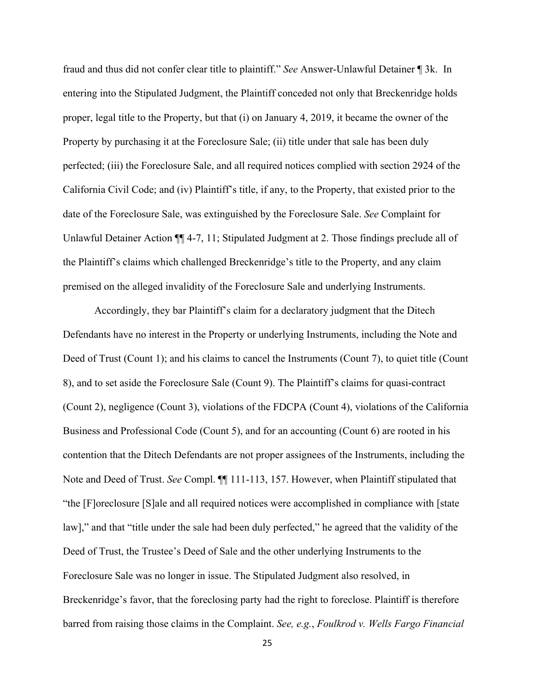fraud and thus did not confer clear title to plaintiff." *See* Answer-Unlawful Detainer ¶ 3k. In entering into the Stipulated Judgment, the Plaintiff conceded not only that Breckenridge holds proper, legal title to the Property, but that (i) on January 4, 2019, it became the owner of the Property by purchasing it at the Foreclosure Sale; (ii) title under that sale has been duly perfected; (iii) the Foreclosure Sale, and all required notices complied with section 2924 of the California Civil Code; and (iv) Plaintiff's title, if any, to the Property, that existed prior to the date of the Foreclosure Sale, was extinguished by the Foreclosure Sale. *See* Complaint for Unlawful Detainer Action  $\P\P$  4-7, 11; Stipulated Judgment at 2. Those findings preclude all of the Plaintiff's claims which challenged Breckenridge's title to the Property, and any claim premised on the alleged invalidity of the Foreclosure Sale and underlying Instruments.

Accordingly, they bar Plaintiff's claim for a declaratory judgment that the Ditech Defendants have no interest in the Property or underlying Instruments, including the Note and Deed of Trust (Count 1); and his claims to cancel the Instruments (Count 7), to quiet title (Count 8), and to set aside the Foreclosure Sale (Count 9). The Plaintiff's claims for quasi-contract (Count 2), negligence (Count 3), violations of the FDCPA (Count 4), violations of the California Business and Professional Code (Count 5), and for an accounting (Count 6) are rooted in his contention that the Ditech Defendants are not proper assignees of the Instruments, including the Note and Deed of Trust. *See* Compl. ¶¶ 111-113, 157. However, when Plaintiff stipulated that "the [F]oreclosure [S]ale and all required notices were accomplished in compliance with [state law]," and that "title under the sale had been duly perfected," he agreed that the validity of the Deed of Trust, the Trustee's Deed of Sale and the other underlying Instruments to the Foreclosure Sale was no longer in issue. The Stipulated Judgment also resolved, in Breckenridge's favor, that the foreclosing party had the right to foreclose. Plaintiff is therefore barred from raising those claims in the Complaint. *See, e.g.*, *Foulkrod v. Wells Fargo Financial*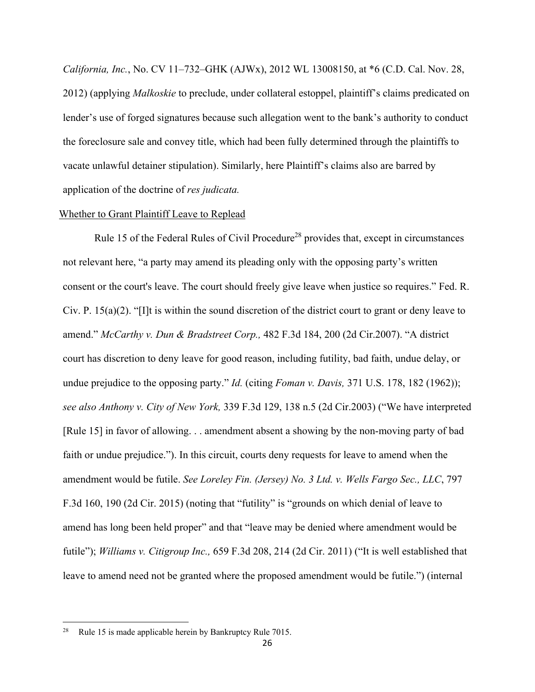*California, Inc.*, No. CV 11–732–GHK (AJWx), 2012 WL 13008150, at \*6 (C.D. Cal. Nov. 28, 2012) (applying *Malkoskie* to preclude, under collateral estoppel, plaintiff's claims predicated on lender's use of forged signatures because such allegation went to the bank's authority to conduct the foreclosure sale and convey title, which had been fully determined through the plaintiffs to vacate unlawful detainer stipulation). Similarly, here Plaintiff's claims also are barred by application of the doctrine of *res judicata.* 

## Whether to Grant Plaintiff Leave to Replead

Rule 15 of the Federal Rules of Civil Procedure<sup>28</sup> provides that, except in circumstances not relevant here, "a party may amend its pleading only with the opposing party's written consent or the court's leave. The court should freely give leave when justice so requires." Fed. R. Civ. P.  $15(a)(2)$ . "[I]t is within the sound discretion of the district court to grant or deny leave to amend." *McCarthy v. Dun & Bradstreet Corp.,* 482 F.3d 184, 200 (2d Cir.2007). "A district court has discretion to deny leave for good reason, including futility, bad faith, undue delay, or undue prejudice to the opposing party." *Id.* (citing *Foman v. Davis,* 371 U.S. 178, 182 (1962)); *see also Anthony v. City of New York,* 339 F.3d 129, 138 n.5 (2d Cir.2003) ("We have interpreted [Rule 15] in favor of allowing. . . amendment absent a showing by the non-moving party of bad faith or undue prejudice."). In this circuit, courts deny requests for leave to amend when the amendment would be futile. *See Loreley Fin. (Jersey) No. 3 Ltd. v. Wells Fargo Sec., LLC*, 797 F.3d 160, 190 (2d Cir. 2015) (noting that "futility" is "grounds on which denial of leave to amend has long been held proper" and that "leave may be denied where amendment would be futile"); *Williams v. Citigroup Inc.,* 659 F.3d 208, 214 (2d Cir. 2011) ("It is well established that leave to amend need not be granted where the proposed amendment would be futile.") (internal

<sup>&</sup>lt;sup>28</sup> Rule 15 is made applicable herein by Bankruptcy Rule 7015.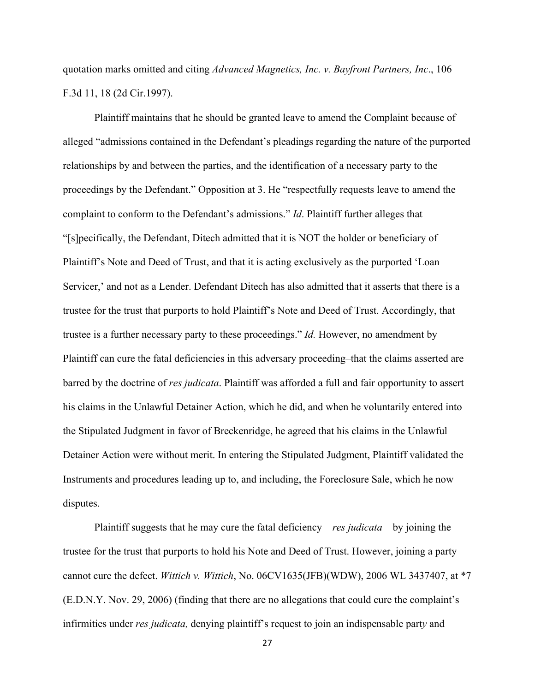quotation marks omitted and citing *Advanced Magnetics, Inc. v. Bayfront Partners, Inc*., 106 F.3d 11, 18 (2d Cir.1997).

Plaintiff maintains that he should be granted leave to amend the Complaint because of alleged "admissions contained in the Defendant's pleadings regarding the nature of the purported relationships by and between the parties, and the identification of a necessary party to the proceedings by the Defendant." Opposition at 3. He "respectfully requests leave to amend the complaint to conform to the Defendant's admissions." *Id*. Plaintiff further alleges that "[s]pecifically, the Defendant, Ditech admitted that it is NOT the holder or beneficiary of Plaintiff's Note and Deed of Trust, and that it is acting exclusively as the purported 'Loan Servicer,' and not as a Lender. Defendant Ditech has also admitted that it asserts that there is a trustee for the trust that purports to hold Plaintiff's Note and Deed of Trust. Accordingly, that trustee is a further necessary party to these proceedings." *Id.* However, no amendment by Plaintiff can cure the fatal deficiencies in this adversary proceeding–that the claims asserted are barred by the doctrine of *res judicata*. Plaintiff was afforded a full and fair opportunity to assert his claims in the Unlawful Detainer Action, which he did, and when he voluntarily entered into the Stipulated Judgment in favor of Breckenridge, he agreed that his claims in the Unlawful Detainer Action were without merit. In entering the Stipulated Judgment, Plaintiff validated the Instruments and procedures leading up to, and including, the Foreclosure Sale, which he now disputes.

Plaintiff suggests that he may cure the fatal deficiency—*res judicata*—by joining the trustee for the trust that purports to hold his Note and Deed of Trust. However, joining a party cannot cure the defect. *Wittich v. Wittich*, No. 06CV1635(JFB)(WDW), 2006 WL 3437407, at \*7 (E.D.N.Y. Nov. 29, 2006) (finding that there are no allegations that could cure the complaint's infirmities under *res judicata,* denying plaintiff's request to join an indispensable part*y* and